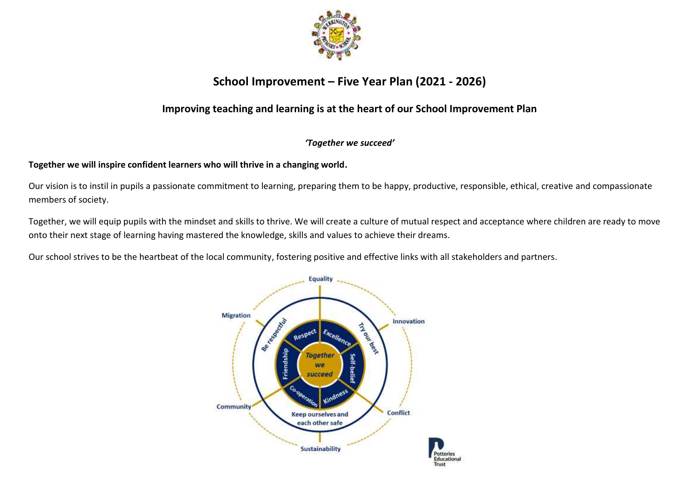

## **School Improvement – Five Year Plan (2021 - 2026)**

## **Improving teaching and learning is at the heart of our School Improvement Plan**

## *'Together we succeed'*

## **Together we will inspire confident learners who will thrive in a changing world.**

Our vision is to instil in pupils a passionate commitment to learning, preparing them to be happy, productive, responsible, ethical, creative and compassionate members of society.

Together, we will equip pupils with the mindset and skills to thrive. We will create a culture of mutual respect and acceptance where children are ready to move onto their next stage of learning having mastered the knowledge, skills and values to achieve their dreams.

Our school strives to be the heartbeat of the local community, fostering positive and effective links with all stakeholders and partners.

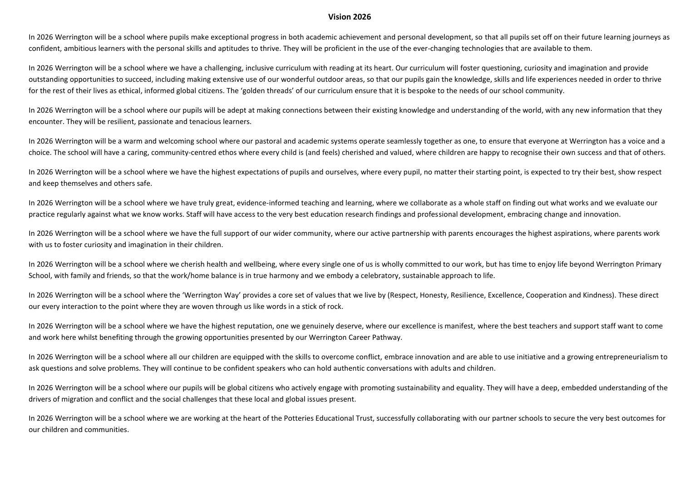#### **Vision 2026**

In 2026 Werrington will be a school where pupils make exceptional progress in both academic achievement and personal development, so that all pupils set off on their future learning journeys as confident, ambitious learners with the personal skills and aptitudes to thrive. They will be proficient in the use of the ever-changing technologies that are available to them.

In 2026 Werrington will be a school where we have a challenging, inclusive curriculum with reading at its heart. Our curriculum will foster questioning, curiosity and imagination and provide outstanding opportunities to succeed, including making extensive use of our wonderful outdoor areas, so that our pupils gain the knowledge, skills and life experiences needed in order to thrive for the rest of their lives as ethical, informed global citizens. The 'golden threads' of our curriculum ensure that it is bespoke to the needs of our school community.

In 2026 Werrington will be a school where our pupils will be adept at making connections between their existing knowledge and understanding of the world, with any new information that they encounter. They will be resilient, passionate and tenacious learners.

In 2026 Werrington will be a warm and welcoming school where our pastoral and academic systems operate seamlessly together as one, to ensure that everyone at Werrington has a voice and a choice. The school will have a caring, community-centred ethos where every child is (and feels) cherished and valued, where children are happy to recognise their own success and that of others.

In 2026 Werrington will be a school where we have the highest expectations of pupils and ourselves, where every pupil, no matter their starting point, is expected to try their best, show respect and keep themselves and others safe.

In 2026 Werrington will be a school where we have truly great, evidence-informed teaching and learning, where we collaborate as a whole staff on finding out what works and we evaluate our practice regularly against what we know works. Staff will have access to the very best education research findings and professional development, embracing change and innovation.

In 2026 Werrington will be a school where we have the full support of our wider community, where our active partnership with parents encourages the highest aspirations, where parents work with us to foster curiosity and imagination in their children.

In 2026 Werrington will be a school where we cherish health and wellbeing, where every single one of us is wholly committed to our work, but has time to enjoy life beyond Werrington Primary School, with family and friends, so that the work/home balance is in true harmony and we embody a celebratory, sustainable approach to life.

In 2026 Werrington will be a school where the 'Werrington Way' provides a core set of values that we live by (Respect, Honesty, Resilience, Excellence, Cooperation and Kindness). These direct our every interaction to the point where they are woven through us like words in a stick of rock.

In 2026 Werrington will be a school where we have the highest reputation, one we genuinely deserve, where our excellence is manifest, where the best teachers and support staff want to come and work here whilst benefiting through the growing opportunities presented by our Werrington Career Pathway.

In 2026 Werrington will be a school where all our children are equipped with the skills to overcome conflict, embrace innovation and are able to use initiative and a growing entrepreneurialism to ask questions and solve problems. They will continue to be confident speakers who can hold authentic conversations with adults and children.

In 2026 Werrington will be a school where our pupils will be global citizens who actively engage with promoting sustainability and equality. They will have a deep, embedded understanding of the drivers of migration and conflict and the social challenges that these local and global issues present.

In 2026 Werrington will be a school where we are working at the heart of the Potteries Educational Trust, successfully collaborating with our partner schools to secure the very best outcomes for our children and communities.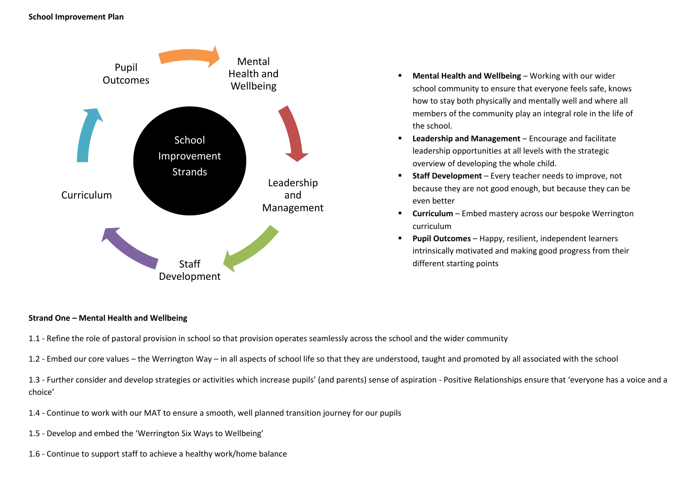

- **Mental Health and Wellbeing** Working with our wider school community to ensure that everyone feels safe, knows how to stay both physically and mentally well and where all members of the community play an integral role in the life of the school.
- **Leadership and Management** Encourage and facilitate leadership opportunities at all levels with the strategic overview of developing the whole child.
- **Staff Development** Every teacher needs to improve, not because they are not good enough, but because they can be even better
- **Curriculum** Embed mastery across our bespoke Werrington curriculum
- **Pupil Outcomes** Happy, resilient, independent learners intrinsically motivated and making good progress from their different starting points

#### **Strand One – Mental Health and Wellbeing**

- 1.1 Refine the role of pastoral provision in school so that provision operates seamlessly across the school and the wider community
- 1.2 Embed our core values the Werrington Way in all aspects of school life so that they are understood, taught and promoted by all associated with the school

1.3 - Further consider and develop strategies or activities which increase pupils' (and parents) sense of aspiration - Positive Relationships ensure that 'everyone has a voice and a choice'

- 1.4 Continue to work with our MAT to ensure a smooth, well planned transition journey for our pupils
- 1.5 Develop and embed the 'Werrington Six Ways to Wellbeing'
- 1.6 Continue to support staff to achieve a healthy work/home balance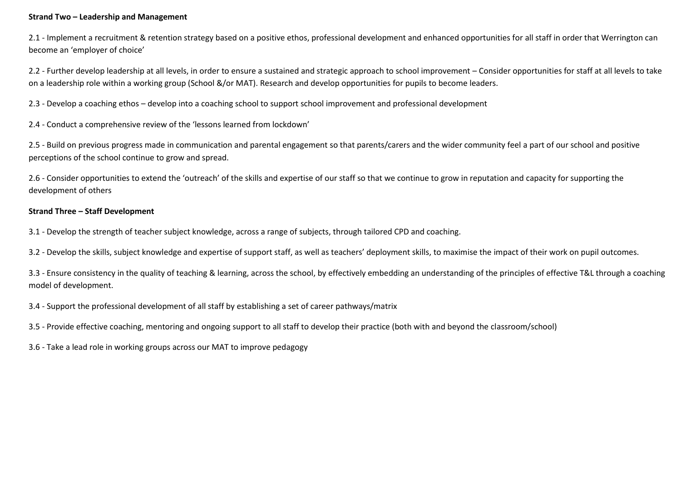#### **Strand Two – Leadership and Management**

2.1 - Implement a recruitment & retention strategy based on a positive ethos, professional development and enhanced opportunities for all staff in order that Werrington can become an 'employer of choice'

2.2 - Further develop leadership at all levels, in order to ensure a sustained and strategic approach to school improvement – Consider opportunities for staff at all levels to take on a leadership role within a working group (School &/or MAT). Research and develop opportunities for pupils to become leaders.

2.3 - Develop a coaching ethos – develop into a coaching school to support school improvement and professional development

2.4 - Conduct a comprehensive review of the 'lessons learned from lockdown'

2.5 - Build on previous progress made in communication and parental engagement so that parents/carers and the wider community feel a part of our school and positive perceptions of the school continue to grow and spread.

2.6 - Consider opportunities to extend the 'outreach' of the skills and expertise of our staff so that we continue to grow in reputation and capacity for supporting the development of others

## **Strand Three – Staff Development**

3.1 - Develop the strength of teacher subject knowledge, across a range of subjects, through tailored CPD and coaching.

3.2 - Develop the skills, subject knowledge and expertise of support staff, as well as teachers' deployment skills, to maximise the impact of their work on pupil outcomes.

3.3 - Ensure consistency in the quality of teaching & learning, across the school, by effectively embedding an understanding of the principles of effective T&L through a coaching model of development.

3.4 - Support the professional development of all staff by establishing a set of career pathways/matrix

3.5 - Provide effective coaching, mentoring and ongoing support to all staff to develop their practice (both with and beyond the classroom/school)

3.6 - Take a lead role in working groups across our MAT to improve pedagogy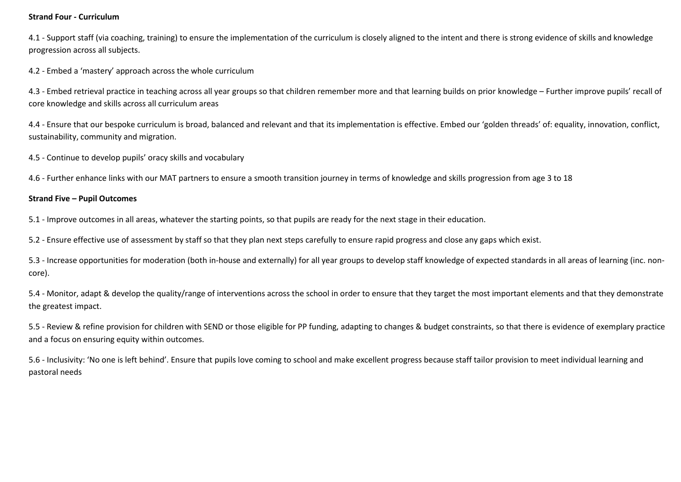#### **Strand Four - Curriculum**

4.1 - Support staff (via coaching, training) to ensure the implementation of the curriculum is closely aligned to the intent and there is strong evidence of skills and knowledge progression across all subjects.

4.2 - Embed a 'mastery' approach across the whole curriculum

4.3 - Embed retrieval practice in teaching across all year groups so that children remember more and that learning builds on prior knowledge – Further improve pupils' recall of core knowledge and skills across all curriculum areas

4.4 - Ensure that our bespoke curriculum is broad, balanced and relevant and that its implementation is effective. Embed our 'golden threads' of: equality, innovation, conflict, sustainability, community and migration.

4.5 - Continue to develop pupils' oracy skills and vocabulary

4.6 - Further enhance links with our MAT partners to ensure a smooth transition journey in terms of knowledge and skills progression from age 3 to 18

#### **Strand Five – Pupil Outcomes**

5.1 - Improve outcomes in all areas, whatever the starting points, so that pupils are ready for the next stage in their education.

5.2 - Ensure effective use of assessment by staff so that they plan next steps carefully to ensure rapid progress and close any gaps which exist.

5.3 - Increase opportunities for moderation (both in-house and externally) for all year groups to develop staff knowledge of expected standards in all areas of learning (inc. noncore).

5.4 - Monitor, adapt & develop the quality/range of interventions across the school in order to ensure that they target the most important elements and that they demonstrate the greatest impact.

5.5 - Review & refine provision for children with SEND or those eligible for PP funding, adapting to changes & budget constraints, so that there is evidence of exemplary practice and a focus on ensuring equity within outcomes.

5.6 - Inclusivity: 'No one is left behind'. Ensure that pupils love coming to school and make excellent progress because staff tailor provision to meet individual learning and pastoral needs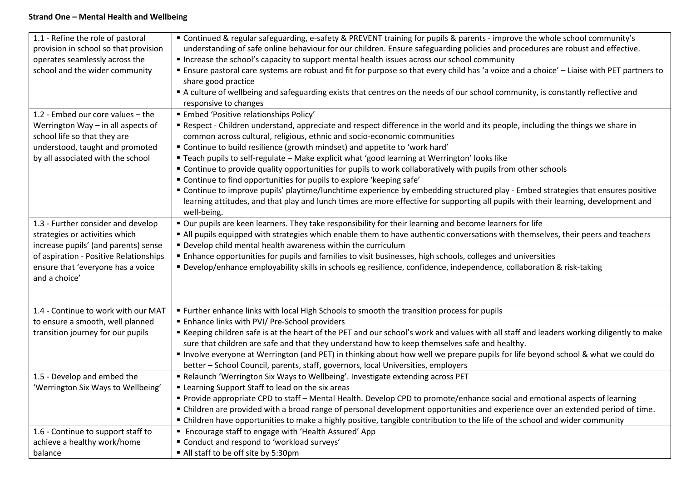## **Strand One – Mental Health and Wellbeing**

| 1.1 - Refine the role of pastoral      | " Continued & regular safeguarding, e-safety & PREVENT training for pupils & parents - improve the whole school community's                     |
|----------------------------------------|-------------------------------------------------------------------------------------------------------------------------------------------------|
| provision in school so that provision  | understanding of safe online behaviour for our children. Ensure safeguarding policies and procedures are robust and effective.                  |
| operates seamlessly across the         | Increase the school's capacity to support mental health issues across our school community                                                      |
| school and the wider community         | Ensure pastoral care systems are robust and fit for purpose so that every child has 'a voice and a choice' - Liaise with PET partners to        |
|                                        | share good practice                                                                                                                             |
|                                        | A culture of wellbeing and safeguarding exists that centres on the needs of our school community, is constantly reflective and                  |
|                                        | responsive to changes                                                                                                                           |
| 1.2 - Embed our core values - the      | <b>Embed 'Positive relationships Policy'</b>                                                                                                    |
| Werrington Way - in all aspects of     | " Respect - Children understand, appreciate and respect difference in the world and its people, including the things we share in                |
| school life so that they are           | common across cultural, religious, ethnic and socio-economic communities                                                                        |
| understood, taught and promoted        | " Continue to build resilience (growth mindset) and appetite to 'work hard'                                                                     |
| by all associated with the school      | " Teach pupils to self-regulate - Make explicit what 'good learning at Werrington' looks like                                                   |
|                                        | " Continue to provide quality opportunities for pupils to work collaboratively with pupils from other schools                                   |
|                                        | " Continue to find opportunities for pupils to explore 'keeping safe'                                                                           |
|                                        | " Continue to improve pupils' playtime/lunchtime experience by embedding structured play - Embed strategies that ensures positive               |
|                                        | learning attitudes, and that play and lunch times are more effective for supporting all pupils with their learning, development and             |
|                                        | well-being.                                                                                                                                     |
| 1.3 - Further consider and develop     | " Our pupils are keen learners. They take responsibility for their learning and become learners for life                                        |
| strategies or activities which         | All pupils equipped with strategies which enable them to have authentic conversations with themselves, their peers and teachers                 |
| increase pupils' (and parents) sense   | " Develop child mental health awareness within the curriculum                                                                                   |
| of aspiration - Positive Relationships | " Enhance opportunities for pupils and families to visit businesses, high schools, colleges and universities                                    |
| ensure that 'everyone has a voice      | • Develop/enhance employability skills in schools eg resilience, confidence, independence, collaboration & risk-taking                          |
| and a choice'                          |                                                                                                                                                 |
|                                        |                                                                                                                                                 |
|                                        |                                                                                                                                                 |
| 1.4 - Continue to work with our MAT    | " Further enhance links with local High Schools to smooth the transition process for pupils                                                     |
| to ensure a smooth, well planned       | <b>Enhance links with PVI/ Pre-School providers</b>                                                                                             |
| transition journey for our pupils      | Example Septing children safe is at the heart of the PET and our school's work and values with all staff and leaders working diligently to make |
|                                        | sure that children are safe and that they understand how to keep themselves safe and healthy.                                                   |
|                                        | " Involve everyone at Werrington (and PET) in thinking about how well we prepare pupils for life beyond school & what we could do               |
|                                        | better - School Council, parents, staff, governors, local Universities, employers                                                               |
| 1.5 - Develop and embed the            | " Relaunch 'Werrington Six Ways to Wellbeing'. Investigate extending across PET                                                                 |
| 'Werrington Six Ways to Wellbeing'     | " Learning Support Staff to lead on the six areas                                                                                               |
|                                        | Provide appropriate CPD to staff - Mental Health. Develop CPD to promote/enhance social and emotional aspects of learning                       |
|                                        | " Children are provided with a broad range of personal development opportunities and experience over an extended period of time.                |
|                                        | " Children have opportunities to make a highly positive, tangible contribution to the life of the school and wider community                    |
| 1.6 - Continue to support staff to     | " Encourage staff to engage with 'Health Assured' App                                                                                           |
| achieve a healthy work/home            | " Conduct and respond to 'workload surveys'                                                                                                     |
| balance                                | All staff to be off site by 5:30pm                                                                                                              |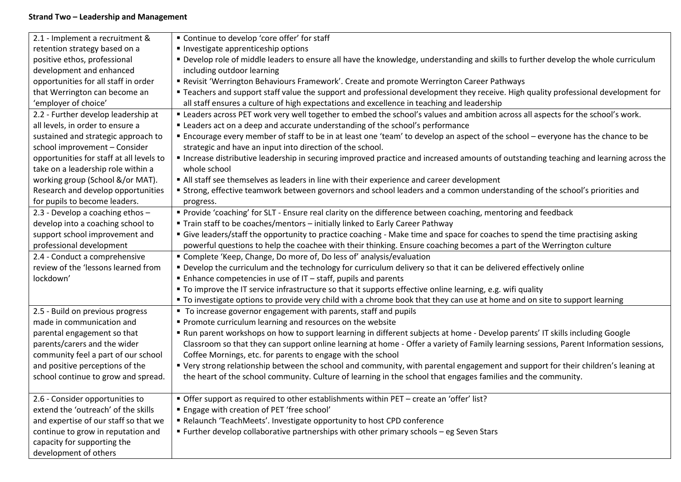## **Strand Two – Leadership and Management**

| 2.1 - Implement a recruitment &          | " Continue to develop 'core offer' for staff                                                                                           |
|------------------------------------------|----------------------------------------------------------------------------------------------------------------------------------------|
| retention strategy based on a            | Investigate apprenticeship options                                                                                                     |
| positive ethos, professional             | " Develop role of middle leaders to ensure all have the knowledge, understanding and skills to further develop the whole curriculum    |
| development and enhanced                 | including outdoor learning                                                                                                             |
| opportunities for all staff in order     | Revisit 'Werrington Behaviours Framework'. Create and promote Werrington Career Pathways                                               |
| that Werrington can become an            | " Teachers and support staff value the support and professional development they receive. High quality professional development for    |
| 'employer of choice'                     | all staff ensures a culture of high expectations and excellence in teaching and leadership                                             |
| 2.2 - Further develop leadership at      | " Leaders across PET work very well together to embed the school's values and ambition across all aspects for the school's work.       |
| all levels, in order to ensure a         | " Leaders act on a deep and accurate understanding of the school's performance                                                         |
| sustained and strategic approach to      | ■ Encourage every member of staff to be in at least one 'team' to develop an aspect of the school – everyone has the chance to be      |
| school improvement - Consider            | strategic and have an input into direction of the school.                                                                              |
| opportunities for staff at all levels to | Increase distributive leadership in securing improved practice and increased amounts of outstanding teaching and learning across the   |
| take on a leadership role within a       | whole school                                                                                                                           |
| working group (School &/or MAT).         | All staff see themselves as leaders in line with their experience and career development                                               |
| Research and develop opportunities       | " Strong, effective teamwork between governors and school leaders and a common understanding of the school's priorities and            |
| for pupils to become leaders.            | progress.                                                                                                                              |
| 2.3 - Develop a coaching ethos -         | " Provide 'coaching' for SLT - Ensure real clarity on the difference between coaching, mentoring and feedback                          |
| develop into a coaching school to        | " Train staff to be coaches/mentors - initially linked to Early Career Pathway                                                         |
| support school improvement and           | " Give leaders/staff the opportunity to practice coaching - Make time and space for coaches to spend the time practising asking        |
| professional development                 | powerful questions to help the coachee with their thinking. Ensure coaching becomes a part of the Werrington culture                   |
| 2.4 - Conduct a comprehensive            | " Complete 'Keep, Change, Do more of, Do less of' analysis/evaluation                                                                  |
| review of the 'lessons learned from      | " Develop the curriculum and the technology for curriculum delivery so that it can be delivered effectively online                     |
| lockdown'                                | ■ Enhance competencies in use of IT - staff, pupils and parents                                                                        |
|                                          | " To improve the IT service infrastructure so that it supports effective online learning, e.g. wifi quality                            |
|                                          | " To investigate options to provide very child with a chrome book that they can use at home and on site to support learning            |
| 2.5 - Build on previous progress         | ■ To increase governor engagement with parents, staff and pupils                                                                       |
| made in communication and                | Promote curriculum learning and resources on the website                                                                               |
| parental engagement so that              | Run parent workshops on how to support learning in different subjects at home - Develop parents' IT skills including Google            |
| parents/carers and the wider             | Classroom so that they can support online learning at home - Offer a variety of Family learning sessions, Parent Information sessions, |
| community feel a part of our school      | Coffee Mornings, etc. for parents to engage with the school                                                                            |
| and positive perceptions of the          | " Very strong relationship between the school and community, with parental engagement and support for their children's leaning at      |
| school continue to grow and spread.      | the heart of the school community. Culture of learning in the school that engages families and the community.                          |
|                                          |                                                                                                                                        |
| 2.6 - Consider opportunities to          | " Offer support as required to other establishments within PET – create an 'offer' list?                                               |
| extend the 'outreach' of the skills      | " Engage with creation of PET 'free school'                                                                                            |
| and expertise of our staff so that we    | Relaunch 'TeachMeets'. Investigate opportunity to host CPD conference                                                                  |
| continue to grow in reputation and       | ■ Further develop collaborative partnerships with other primary schools – eg Seven Stars                                               |
| capacity for supporting the              |                                                                                                                                        |
| development of others                    |                                                                                                                                        |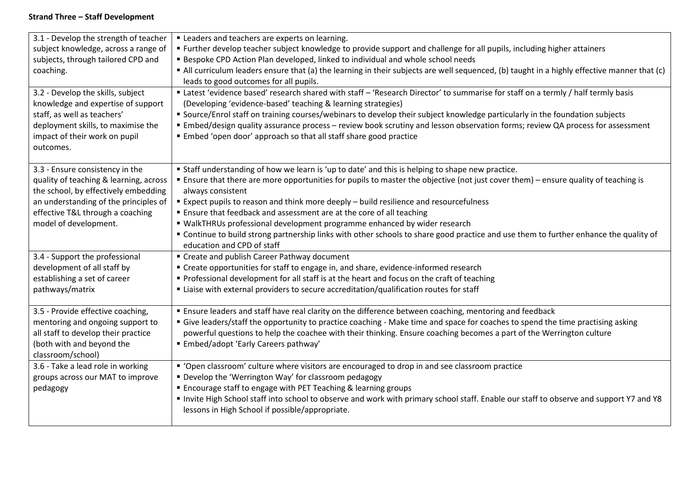## **Strand Three – Staff Development**

| 3.1 - Develop the strength of teacher<br>subject knowledge, across a range of<br>subjects, through tailored CPD and<br>coaching.<br>3.2 - Develop the skills, subject<br>knowledge and expertise of support<br>staff, as well as teachers'<br>deployment skills, to maximise the<br>impact of their work on pupil | " Leaders and teachers are experts on learning.<br>" Further develop teacher subject knowledge to provide support and challenge for all pupils, including higher attainers<br><b>Bespoke CPD Action Plan developed, linked to individual and whole school needs</b><br>" All curriculum leaders ensure that (a) the learning in their subjects are well sequenced, (b) taught in a highly effective manner that (c)<br>leads to good outcomes for all pupils.<br>Latest 'evidence based' research shared with staff - 'Research Director' to summarise for staff on a termly / half termly basis<br>(Developing 'evidence-based' teaching & learning strategies)<br>" Source/Enrol staff on training courses/webinars to develop their subject knowledge particularly in the foundation subjects<br>Embed/design quality assurance process - review book scrutiny and lesson observation forms; review QA process for assessment<br>Embed 'open door' approach so that all staff share good practice |
|-------------------------------------------------------------------------------------------------------------------------------------------------------------------------------------------------------------------------------------------------------------------------------------------------------------------|------------------------------------------------------------------------------------------------------------------------------------------------------------------------------------------------------------------------------------------------------------------------------------------------------------------------------------------------------------------------------------------------------------------------------------------------------------------------------------------------------------------------------------------------------------------------------------------------------------------------------------------------------------------------------------------------------------------------------------------------------------------------------------------------------------------------------------------------------------------------------------------------------------------------------------------------------------------------------------------------------|
| outcomes.                                                                                                                                                                                                                                                                                                         |                                                                                                                                                                                                                                                                                                                                                                                                                                                                                                                                                                                                                                                                                                                                                                                                                                                                                                                                                                                                      |
| 3.3 - Ensure consistency in the<br>quality of teaching & learning, across<br>the school, by effectively embedding<br>an understanding of the principles of<br>effective T&L through a coaching<br>model of development.<br>3.4 - Support the professional                                                         | " Staff understanding of how we learn is 'up to date' and this is helping to shape new practice.<br>" Ensure that there are more opportunities for pupils to master the objective (not just cover them) - ensure quality of teaching is<br>always consistent<br>Expect pupils to reason and think more deeply - build resilience and resourcefulness<br><b>Ensure that feedback and assessment are at the core of all teaching</b><br>" WalkTHRUs professional development programme enhanced by wider research<br>" Continue to build strong partnership links with other schools to share good practice and use them to further enhance the quality of<br>education and CPD of staff<br>" Create and publish Career Pathway document                                                                                                                                                                                                                                                               |
| development of all staff by<br>establishing a set of career<br>pathways/matrix                                                                                                                                                                                                                                    | " Create opportunities for staff to engage in, and share, evidence-informed research<br>" Professional development for all staff is at the heart and focus on the craft of teaching<br>" Liaise with external providers to secure accreditation/qualification routes for staff                                                                                                                                                                                                                                                                                                                                                                                                                                                                                                                                                                                                                                                                                                                       |
| 3.5 - Provide effective coaching,<br>mentoring and ongoing support to<br>all staff to develop their practice<br>(both with and beyond the<br>classroom/school)                                                                                                                                                    | " Ensure leaders and staff have real clarity on the difference between coaching, mentoring and feedback<br>" Give leaders/staff the opportunity to practice coaching - Make time and space for coaches to spend the time practising asking<br>powerful questions to help the coachee with their thinking. Ensure coaching becomes a part of the Werrington culture<br>" Embed/adopt 'Early Careers pathway'                                                                                                                                                                                                                                                                                                                                                                                                                                                                                                                                                                                          |
| 3.6 - Take a lead role in working<br>groups across our MAT to improve<br>pedagogy                                                                                                                                                                                                                                 | • 'Open classroom' culture where visitors are encouraged to drop in and see classroom practice<br>" Develop the 'Werrington Way' for classroom pedagogy<br><b>Encourage staff to engage with PET Teaching &amp; learning groups</b><br>" Invite High School staff into school to observe and work with primary school staff. Enable our staff to observe and support Y7 and Y8<br>lessons in High School if possible/appropriate.                                                                                                                                                                                                                                                                                                                                                                                                                                                                                                                                                                    |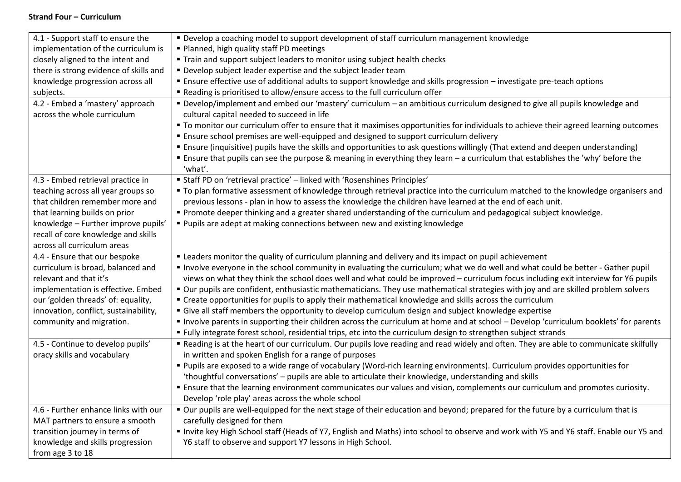## **Strand Four – Curriculum**

| 4.1 - Support staff to ensure the                               | • Develop a coaching model to support development of staff curriculum management knowledge                                                                                                                                                                                       |
|-----------------------------------------------------------------|----------------------------------------------------------------------------------------------------------------------------------------------------------------------------------------------------------------------------------------------------------------------------------|
| implementation of the curriculum is                             | " Planned, high quality staff PD meetings                                                                                                                                                                                                                                        |
| closely aligned to the intent and                               | " Train and support subject leaders to monitor using subject health checks                                                                                                                                                                                                       |
| there is strong evidence of skills and                          | " Develop subject leader expertise and the subject leader team                                                                                                                                                                                                                   |
| knowledge progression across all                                | " Ensure effective use of additional adults to support knowledge and skills progression - investigate pre-teach options                                                                                                                                                          |
| subjects.                                                       | " Reading is prioritised to allow/ensure access to the full curriculum offer                                                                                                                                                                                                     |
| 4.2 - Embed a 'mastery' approach<br>across the whole curriculum | " Develop/implement and embed our 'mastery' curriculum - an ambitious curriculum designed to give all pupils knowledge and<br>cultural capital needed to succeed in life                                                                                                         |
|                                                                 | " To monitor our curriculum offer to ensure that it maximises opportunities for individuals to achieve their agreed learning outcomes                                                                                                                                            |
|                                                                 | " Ensure school premises are well-equipped and designed to support curriculum delivery                                                                                                                                                                                           |
|                                                                 | " Ensure (inquisitive) pupils have the skills and opportunities to ask questions willingly (That extend and deepen understanding)<br>" Ensure that pupils can see the purpose & meaning in everything they learn - a curriculum that establishes the 'why' before the<br>'what'. |
| 4.3 - Embed retrieval practice in                               | " Staff PD on 'retrieval practice' - linked with 'Rosenshines Principles'                                                                                                                                                                                                        |
| teaching across all year groups so                              | " To plan formative assessment of knowledge through retrieval practice into the curriculum matched to the knowledge organisers and                                                                                                                                               |
| that children remember more and                                 | previous lessons - plan in how to assess the knowledge the children have learned at the end of each unit.                                                                                                                                                                        |
| that learning builds on prior                                   | " Promote deeper thinking and a greater shared understanding of the curriculum and pedagogical subject knowledge.                                                                                                                                                                |
| knowledge - Further improve pupils'                             | " Pupils are adept at making connections between new and existing knowledge                                                                                                                                                                                                      |
| recall of core knowledge and skills                             |                                                                                                                                                                                                                                                                                  |
| across all curriculum areas                                     |                                                                                                                                                                                                                                                                                  |
| 4.4 - Ensure that our bespoke                                   | " Leaders monitor the quality of curriculum planning and delivery and its impact on pupil achievement                                                                                                                                                                            |
| curriculum is broad, balanced and                               | Involve everyone in the school community in evaluating the curriculum; what we do well and what could be better - Gather pupil                                                                                                                                                   |
| relevant and that it's                                          | views on what they think the school does well and what could be improved - curriculum focus including exit interview for Y6 pupils                                                                                                                                               |
| implementation is effective. Embed                              | " Our pupils are confident, enthusiastic mathematicians. They use mathematical strategies with joy and are skilled problem solvers                                                                                                                                               |
| our 'golden threads' of: equality,                              | " Create opportunities for pupils to apply their mathematical knowledge and skills across the curriculum                                                                                                                                                                         |
| innovation, conflict, sustainability,                           | Give all staff members the opportunity to develop curriculum design and subject knowledge expertise                                                                                                                                                                              |
| community and migration.                                        | Involve parents in supporting their children across the curriculum at home and at school - Develop 'curriculum booklets' for parents                                                                                                                                             |
|                                                                 | " Fully integrate forest school, residential trips, etc into the curriculum design to strengthen subject strands                                                                                                                                                                 |
| 4.5 - Continue to develop pupils'                               | " Reading is at the heart of our curriculum. Our pupils love reading and read widely and often. They are able to communicate skilfully                                                                                                                                           |
| oracy skills and vocabulary                                     | in written and spoken English for a range of purposes                                                                                                                                                                                                                            |
|                                                                 | " Pupils are exposed to a wide range of vocabulary (Word-rich learning environments). Curriculum provides opportunities for                                                                                                                                                      |
|                                                                 | 'thoughtful conversations' - pupils are able to articulate their knowledge, understanding and skills                                                                                                                                                                             |
|                                                                 | " Ensure that the learning environment communicates our values and vision, complements our curriculum and promotes curiosity.                                                                                                                                                    |
|                                                                 | Develop 'role play' areas across the whole school                                                                                                                                                                                                                                |
| 4.6 - Further enhance links with our                            | " Our pupils are well-equipped for the next stage of their education and beyond; prepared for the future by a curriculum that is                                                                                                                                                 |
| MAT partners to ensure a smooth                                 | carefully designed for them                                                                                                                                                                                                                                                      |
| transition journey in terms of                                  | Invite key High School staff (Heads of Y7, English and Maths) into school to observe and work with Y5 and Y6 staff. Enable our Y5 and                                                                                                                                            |
| knowledge and skills progression                                | Y6 staff to observe and support Y7 lessons in High School.                                                                                                                                                                                                                       |
| from age 3 to 18                                                |                                                                                                                                                                                                                                                                                  |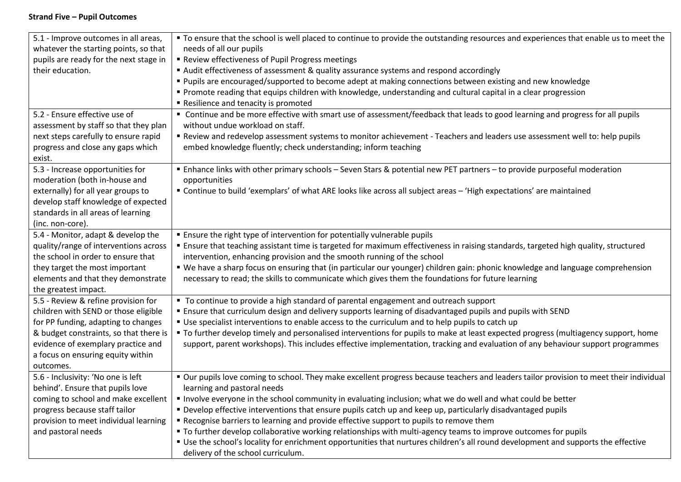## **Strand Five – Pupil Outcomes**

| 5.1 - Improve outcomes in all areas,   | " To ensure that the school is well placed to continue to provide the outstanding resources and experiences that enable us to meet the  |
|----------------------------------------|-----------------------------------------------------------------------------------------------------------------------------------------|
| whatever the starting points, so that  | needs of all our pupils                                                                                                                 |
| pupils are ready for the next stage in | Review effectiveness of Pupil Progress meetings                                                                                         |
| their education.                       | ■ Audit effectiveness of assessment & quality assurance systems and respond accordingly                                                 |
|                                        | " Pupils are encouraged/supported to become adept at making connections between existing and new knowledge                              |
|                                        | " Promote reading that equips children with knowledge, understanding and cultural capital in a clear progression                        |
|                                        | Resilience and tenacity is promoted                                                                                                     |
| 5.2 - Ensure effective use of          | • Continue and be more effective with smart use of assessment/feedback that leads to good learning and progress for all pupils          |
| assessment by staff so that they plan  | without undue workload on staff.                                                                                                        |
| next steps carefully to ensure rapid   | Review and redevelop assessment systems to monitor achievement - Teachers and leaders use assessment well to: help pupils               |
| progress and close any gaps which      | embed knowledge fluently; check understanding; inform teaching                                                                          |
| exist.                                 |                                                                                                                                         |
| 5.3 - Increase opportunities for       | Enhance links with other primary schools - Seven Stars & potential new PET partners - to provide purposeful moderation                  |
| moderation (both in-house and          | opportunities                                                                                                                           |
| externally) for all year groups to     | " Continue to build 'exemplars' of what ARE looks like across all subject areas - 'High expectations' are maintained                    |
| develop staff knowledge of expected    |                                                                                                                                         |
| standards in all areas of learning     |                                                                                                                                         |
| (inc. non-core).                       |                                                                                                                                         |
| 5.4 - Monitor, adapt & develop the     | " Ensure the right type of intervention for potentially vulnerable pupils                                                               |
| quality/range of interventions across  | " Ensure that teaching assistant time is targeted for maximum effectiveness in raising standards, targeted high quality, structured     |
| the school in order to ensure that     | intervention, enhancing provision and the smooth running of the school                                                                  |
| they target the most important         | " We have a sharp focus on ensuring that (in particular our younger) children gain: phonic knowledge and language comprehension         |
| elements and that they demonstrate     | necessary to read; the skills to communicate which gives them the foundations for future learning                                       |
| the greatest impact.                   |                                                                                                                                         |
| 5.5 - Review & refine provision for    | " To continue to provide a high standard of parental engagement and outreach support                                                    |
| children with SEND or those eligible   | Ensure that curriculum design and delivery supports learning of disadvantaged pupils and pupils with SEND                               |
| for PP funding, adapting to changes    | " Use specialist interventions to enable access to the curriculum and to help pupils to catch up                                        |
| & budget constraints, so that there is | " To further develop timely and personalised interventions for pupils to make at least expected progress (multiagency support, home     |
| evidence of exemplary practice and     | support, parent workshops). This includes effective implementation, tracking and evaluation of any behaviour support programmes         |
| a focus on ensuring equity within      |                                                                                                                                         |
| outcomes.                              |                                                                                                                                         |
| 5.6 - Inclusivity: 'No one is left     | " Our pupils love coming to school. They make excellent progress because teachers and leaders tailor provision to meet their individual |
| behind'. Ensure that pupils love       | learning and pastoral needs                                                                                                             |
| coming to school and make excellent    | Involve everyone in the school community in evaluating inclusion; what we do well and what could be better                              |
| progress because staff tailor          | • Develop effective interventions that ensure pupils catch up and keep up, particularly disadvantaged pupils                            |
| provision to meet individual learning  | " Recognise barriers to learning and provide effective support to pupils to remove them                                                 |
| and pastoral needs                     | • To further develop collaborative working relationships with multi-agency teams to improve outcomes for pupils                         |
|                                        | " Use the school's locality for enrichment opportunities that nurtures children's all round development and supports the effective      |
|                                        | delivery of the school curriculum.                                                                                                      |